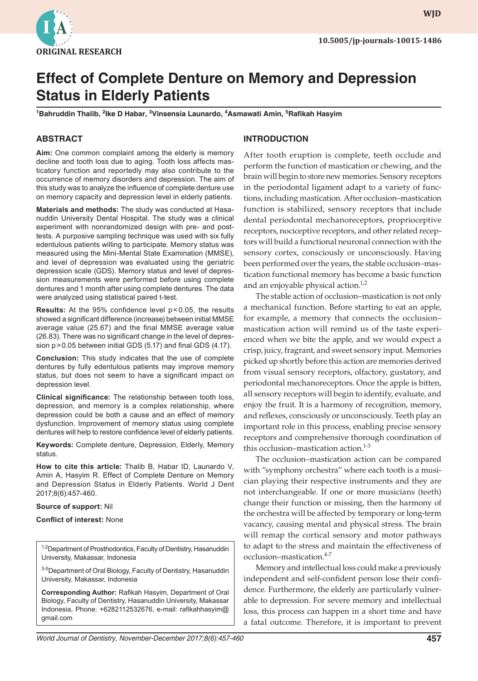

**wjd WJD**

# **Effect of Complete Denture on Memory and Depression Status in Elderly Patients**

**1 Bahruddin Thalib, 2 Ike D Habar, <sup>3</sup> Vinsensia Launardo, 4 Asmawati Amin, 5 Rafikah Hasyim**

## **ABSTRACT**

**Aim:** One common complaint among the elderly is memory decline and tooth loss due to aging. Tooth loss affects masticatory function and reportedly may also contribute to the occurrence of memory disorders and depression. The aim of this study was to analyze the influence of complete denture use on memory capacity and depression level in elderly patients.

**Materials and methods:** The study was conducted at Hasanuddin University Dental Hospital. The study was a clinical experiment with nonrandomized design with pre- and posttests. A purposive sampling technique was used with six fully edentulous patients willing to participate. Memory status was measured using the Mini-Mental State Examination (MMSE), and level of depression was evaluated using the geriatric depression scale (GDS). Memory status and level of depression measurements were performed before using complete dentures and 1 month after using complete dentures. The data were analyzed using statistical paired t-test.

**Results:** At the 95% confidence level p < 0.05, the results showed a significant difference (increase) between initial MMSE average value (25.67) and the final MMSE average value (26.83). There was no significant change in the level of depression p>0.05 between initial GDS (5.17) and final GDS (4.17).

**Conclusion:** This study indicates that the use of complete dentures by fully edentulous patients may improve memory status, but does not seem to have a significant impact on depression level.

**Clinical significance:** The relationship between tooth loss, depression, and memory is a complex relationship, where depression could be both a cause and an effect of memory dysfunction. Improvement of memory status using complete dentures will help to restore confidence level of elderly patients.

**Keywords:** Complete denture, Depression, Elderly, Memory status.

**How to cite this article:** Thalib B, Habar ID, Launardo V, Amin A, Hasyim R. Effect of Complete Denture on Memory and Depression Status in Elderly Patients. World J Dent 2017;8(6):457-460.

#### **Source of support:** Nil

**Conflict of interest:** None

<sup>1,2</sup>Department of Prosthodontics, Faculty of Dentistry, Hasanuddin University, Makassar, Indonesia

<sup>3-5</sup>Department of Oral Biology, Faculty of Dentistry, Hasanuddin University, Makassar, Indonesia

**Corresponding Author:** Rafikah Hasyim, Department of Oral Biology, Faculty of Dentistry, Hasanuddin University, Makassar Indonesia, Phone: +6282112532676, e-mail: rafikahhasyim@ gmail.com

### **INTRODUCTION**

After tooth eruption is complete, teeth occlude and perform the function of mastication or chewing, and the brain will begin to store new memories. Sensory receptors in the periodontal ligament adapt to a variety of functions, including mastication. After occlusion–mastication function is stabilized, sensory receptors that include dental periodontal mechanoreceptors, proprioceptive receptors, nociceptive receptors, and other related receptors will build a functional neuronal connection with the sensory cortex, consciously or unconsciously. Having been performed over the years, the stable occlusion–mastication functional memory has become a basic function and an enjoyable physical action.<sup>1,2</sup>

The stable action of occlusion–mastication is not only a mechanical function. Before starting to eat an apple, for example, a memory that connects the occlusion– mastication action will remind us of the taste experienced when we bite the apple, and we would expect a crisp, juicy, fragrant, and sweet sensory input. Memories picked up shortly before this action are memories derived from visual sensory receptors, olfactory, gustatory, and periodontal mechanoreceptors. Once the apple is bitten, all sensory receptors will begin to identify, evaluate, and enjoy the fruit. It is a harmony of recognition, memory, and reflexes, consciously or unconsciously. Teeth play an important role in this process, enabling precise sensory receptors and comprehensive thorough coordination of this occlusion–mastication action. $1-3$ 

The occlusion–mastication action can be compared with "symphony orchestra" where each tooth is a musician playing their respective instruments and they are not interchangeable. If one or more musicians (teeth) change their function or missing, then the harmony of the orchestra will be affected by temporary or long-term vacancy, causing mental and physical stress. The brain will remap the cortical sensory and motor pathways to adapt to the stress and maintain the effectiveness of occlusion–mastication.<sup>4-7</sup>

Memory and intellectual loss could make a previously independent and self-confident person lose their confidence. Furthermore, the elderly are particularly vulnerable to depression. For severe memory and intellectual loss, this process can happen in a short time and have a fatal outcome. Therefore, it is important to prevent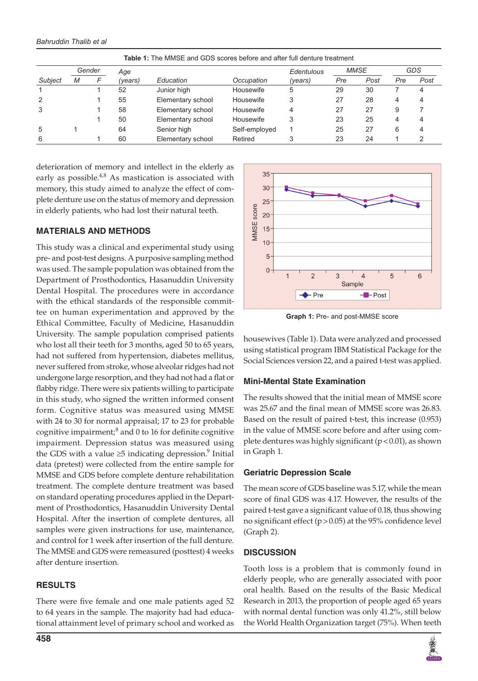*Bahruddin Thalib et al*

|         | Gender |  | Age     |                   |               | Edentulous | <b>MMSE</b> |      | GDS |      |
|---------|--------|--|---------|-------------------|---------------|------------|-------------|------|-----|------|
| Subject | M      |  | (vears) | Education         | Occupation    | (years)    | Pre         | Post | Pre | Post |
|         |        |  | 52      | Junior high       | Housewife     | 5          | 29          | 30   |     |      |
| 2       |        |  | 55      | Elementary school | Housewife     |            | 27          | 28   | 4   |      |
| 3       |        |  | 58      | Elementary school | Housewife     |            | 27          | 27   | 9   |      |
|         |        |  | 50      | Elementary school | Housewife     |            | 23          | 25   | 4   |      |
| 5       |        |  | 64      | Senior high       | Self-employed |            | 25          | 27   | 6   |      |
| 6       |        |  | 60      | Elementary school | Retired       |            | 23          | 24   |     |      |

**Table 1:** The MMSE and GDS scores before and after full denture treatment

deterioration of memory and intellect in the elderly as early as possible. $4,8$  As mastication is associated with memory, this study aimed to analyze the effect of complete denture use on the status of memory and depression in elderly patients, who had lost their natural teeth.

## **MATERIALS AND METHODS**

This study was a clinical and experimental study using pre- and post-test designs. A purposive sampling method was used. The sample population was obtained from the Department of Prosthodontics, Hasanuddin University Dental Hospital. The procedures were in accordance with the ethical standards of the responsible committee on human experimentation and approved by the Ethical Committee, Faculty of Medicine, Hasanuddin University. The sample population comprised patients who lost all their teeth for 3 months, aged 50 to 65 years, had not suffered from hypertension, diabetes mellitus, never suffered from stroke, whose alveolar ridges had not undergone large resorption, and they had not had a flat or flabby ridge. There were six patients willing to participate in this study, who signed the written informed consent form. Cognitive status was measured using MMSE with 24 to 30 for normal appraisal; 17 to 23 for probable cognitive impairment; $^8$  and 0 to 16 for definite cognitive impairment. Depression status was measured using the GDS with a value  $\geq$ 5 indicating depression.<sup>9</sup> Initial data (pretest) were collected from the entire sample for MMSE and GDS before complete denture rehabilitation treatment. The complete denture treatment was based on standard operating procedures applied in the Department of Prosthodontics, Hasanuddin University Dental Hospital. After the insertion of complete dentures, all samples were given instructions for use, maintenance, and control for 1 week after insertion of the full denture. The MMSE and GDS were remeasured (posttest) 4 weeks after denture insertion.

# **RESULTS**

There were five female and one male patients aged 52 to 64 years in the sample. The majority had had educational attainment level of primary school and worked as



**Graph 1:** Pre- and post-MMSE score

housewives (Table 1). Data were analyzed and processed using statistical program IBM Statistical Package for the Social Sciences version 22, and a paired t-test was applied.

# **Mini-Mental State Examination**

The results showed that the initial mean of MMSE score was 25.67 and the final mean of MMSE score was 26.83. Based on the result of paired t-test, this increase (0.953) in the value of MMSE score before and after using complete dentures was highly significant  $(p < 0.01)$ , as shown in Graph 1.

# **Geriatric Depression Scale**

The mean score of GDS baseline was 5.17, while the mean score of final GDS was 4.17. However, the results of the paired t-test gave a significant value of 0.18, thus showing no significant effect ( $p > 0.05$ ) at the 95% confidence level (Graph 2).

# **DISCUSSION**

Tooth loss is a problem that is commonly found in elderly people, who are generally associated with poor oral health. Based on the results of the Basic Medical Research in 2013, the proportion of people aged 65 years with normal dental function was only 41.2%, still below the World Health Organization target (75%). When teeth

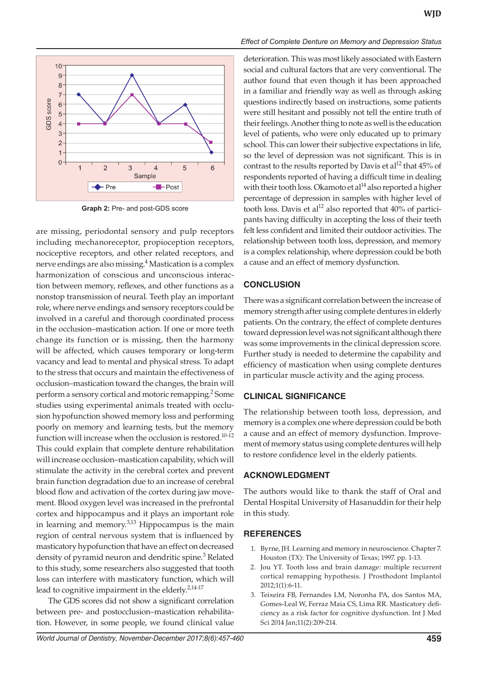

**Graph 2:** Pre- and post-GDS score

are missing, periodontal sensory and pulp receptors including mechanoreceptor, propioception receptors, nociceptive receptors, and other related receptors, and nerve endings are also missing.4 Mastication is a complex harmonization of conscious and unconscious interaction between memory, reflexes, and other functions as a nonstop transmission of neural. Teeth play an important role, where nerve endings and sensory receptors could be involved in a careful and thorough coordinated process in the occlusion–mastication action. If one or more teeth change its function or is missing, then the harmony will be affected, which causes temporary or long-term vacancy and lead to mental and physical stress. To adapt to the stress that occurs and maintain the effectiveness of occlusion–mastication toward the changes, the brain will perform a sensory cortical and motoric remapping.<sup>2</sup> Some studies using experimental animals treated with occlusion hypofunction showed memory loss and performing poorly on memory and learning tests, but the memory function will increase when the occlusion is restored.<sup>10-12</sup> This could explain that complete denture rehabilitation will increase occlusion–mastication capability, which will stimulate the activity in the cerebral cortex and prevent brain function degradation due to an increase of cerebral blood flow and activation of the cortex during jaw movement. Blood oxygen level was increased in the prefrontal cortex and hippocampus and it plays an important role in learning and memory.<sup>3,13</sup> Hippocampus is the main region of central nervous system that is influenced by masticatory hypofunction that have an effect on decreased density of pyramid neuron and dendritic spine.<sup>3</sup> Related to this study, some researchers also suggested that tooth loss can interfere with masticatory function, which will lead to cognitive impairment in the elderly.<sup>2,14-17</sup>

The GDS scores did not show a significant correlation between pre- and postocclusion–mastication rehabilitation. However, in some people, we found clinical value **WJD**

deterioration. This was most likely associated with Eastern social and cultural factors that are very conventional. The author found that even though it has been approached in a familiar and friendly way as well as through asking questions indirectly based on instructions, some patients were still hesitant and possibly not tell the entire truth of their feelings. Another thing to note as well is the education level of patients, who were only educated up to primary school. This can lower their subjective expectations in life, so the level of depression was not significant. This is in contrast to the results reported by Davis et al<sup>12</sup> that  $45\%$  of respondents reported of having a difficult time in dealing with their tooth loss. Okamoto et al $^{14}$  also reported a higher percentage of depression in samples with higher level of tooth loss. Davis et al<sup>12</sup> also reported that  $40\%$  of participants having difficulty in accepting the loss of their teeth felt less confident and limited their outdoor activities. The relationship between tooth loss, depression, and memory is a complex relationship, where depression could be both a cause and an effect of memory dysfunction.

#### **CONCLUSION**

There was a significant correlation between the increase of memory strength after using complete dentures in elderly patients. On the contrary, the effect of complete dentures toward depression level was not significant although there was some improvements in the clinical depression score. Further study is needed to determine the capability and efficiency of mastication when using complete dentures in particular muscle activity and the aging process.

#### **Clinical Significance**

The relationship between tooth loss, depression, and memory is a complex one where depression could be both a cause and an effect of memory dysfunction. Improvement of memory status using complete dentures will help to restore confidence level in the elderly patients.

#### **ACKNOWLEDGMENT**

The authors would like to thank the staff of Oral and Dental Hospital University of Hasanuddin for their help in this study.

#### **REFERENCES**

- 1. Byrne, JH. Learning and memory in neuroscience. Chapter 7. Houston (TX): The University of Texas; 1997. pp. 1-13.
- 2. Jou YT. Tooth loss and brain damage: multiple recurrent cortical remapping hypothesis. J Prosthodont Implantol 2012;1(1):6-11.
- 3. Teixeira FB, Fernandes LM, Noronha PA, dos Santos MA, Gomes-Leal W, Ferraz Maia CS, Lima RR. Masticatory deficiency as a risk factor for cognitive dysfunction. Int J Med Sci 2014 Jan;11(2):209-214.